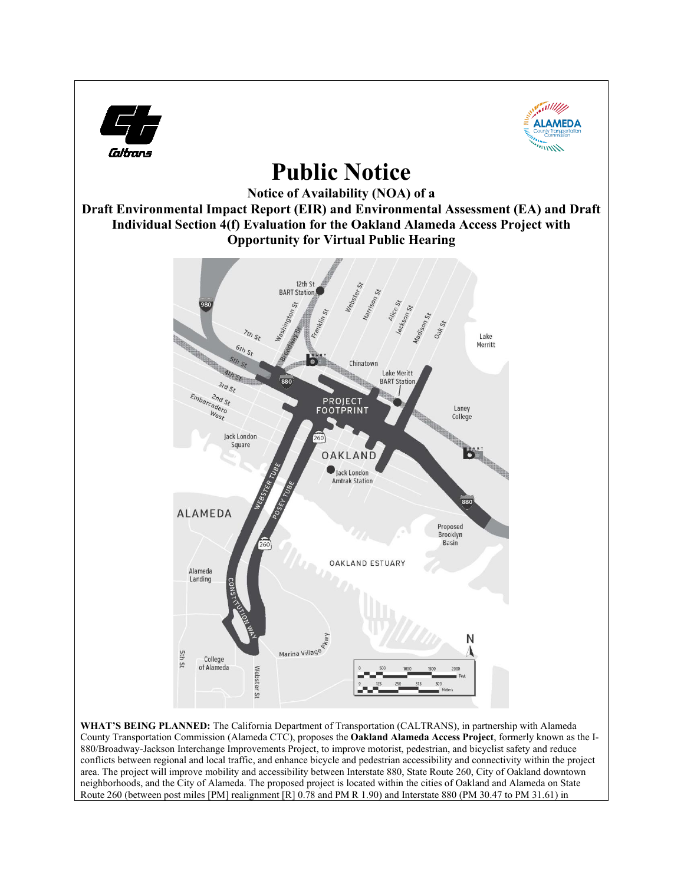

County Transportation Commission (Alameda CTC), proposes the **Oakland Alameda Access Project**, formerly known as the I-880/Broadway-Jackson Interchange Improvements Project, to improve motorist, pedestrian, and bicyclist safety and reduce conflicts between regional and local traffic, and enhance bicycle and pedestrian accessibility and connectivity within the project area. The project will improve mobility and accessibility between Interstate 880, State Route 260, City of Oakland downtown neighborhoods, and the City of Alameda. The proposed project is located within the cities of Oakland and Alameda on State Route 260 (between post miles [PM] realignment [R] 0.78 and PM R 1.90) and Interstate 880 (PM 30.47 to PM 31.61) in